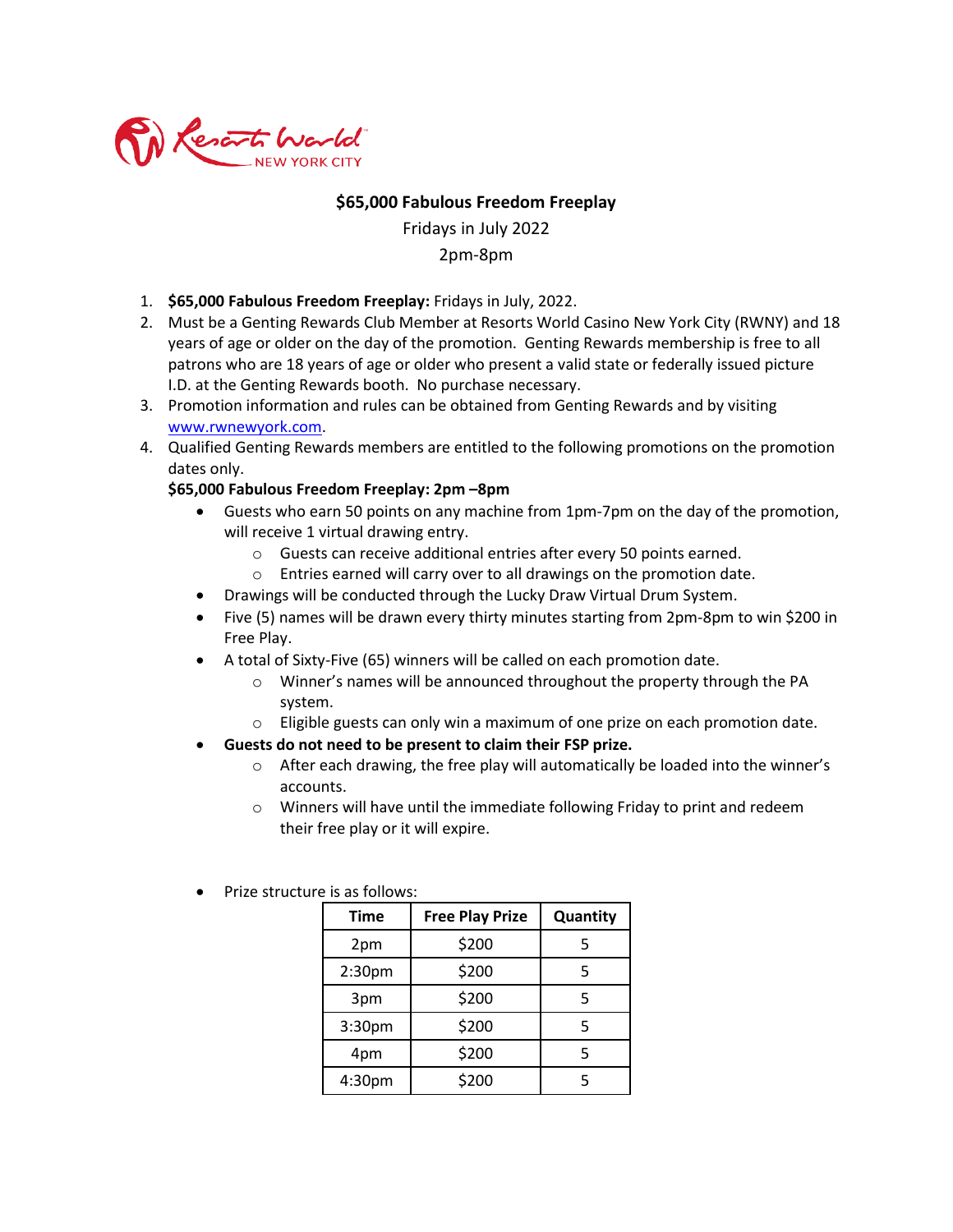

## **\$65,000 Fabulous Freedom Freeplay**

Fridays in July 2022 2pm-8pm

- 1. **\$65,000 Fabulous Freedom Freeplay:** Fridays in July, 2022.
- 2. Must be a Genting Rewards Club Member at Resorts World Casino New York City (RWNY) and 18 years of age or older on the day of the promotion. Genting Rewards membership is free to all patrons who are 18 years of age or older who present a valid state or federally issued picture I.D. at the Genting Rewards booth. No purchase necessary.
- 3. Promotion information and rules can be obtained from Genting Rewards and by visiting [www.rwnewyork.com.](http://www.rwnewyork.com/)
- 4. Qualified Genting Rewards members are entitled to the following promotions on the promotion dates only.

## **\$65,000 Fabulous Freedom Freeplay: 2pm –8pm**

- Guests who earn 50 points on any machine from 1pm-7pm on the day of the promotion, will receive 1 virtual drawing entry.
	- o Guests can receive additional entries after every 50 points earned.
	- o Entries earned will carry over to all drawings on the promotion date.
- Drawings will be conducted through the Lucky Draw Virtual Drum System.
- Five (5) names will be drawn every thirty minutes starting from 2pm-8pm to win \$200 in Free Play.
- A total of Sixty-Five (65) winners will be called on each promotion date.
	- o Winner's names will be announced throughout the property through the PA system.
	- o Eligible guests can only win a maximum of one prize on each promotion date.
- **Guests do not need to be present to claim their FSP prize.**
	- o After each drawing, the free play will automatically be loaded into the winner's accounts.
	- o Winners will have until the immediate following Friday to print and redeem their free play or it will expire.
		- **Time Free Play Prize Quantity** 2pm | \$200 | 5  $2:30 \text{pm}$   $5200$  5  $3 \text{pm}$   $\frac{1}{200}$  5  $3:30 \text{pm}$   $5200$  5 4pm | \$200 | 5  $4:30 \text{ pm}$  \$200  $\vert$  5
- Prize structure is as follows: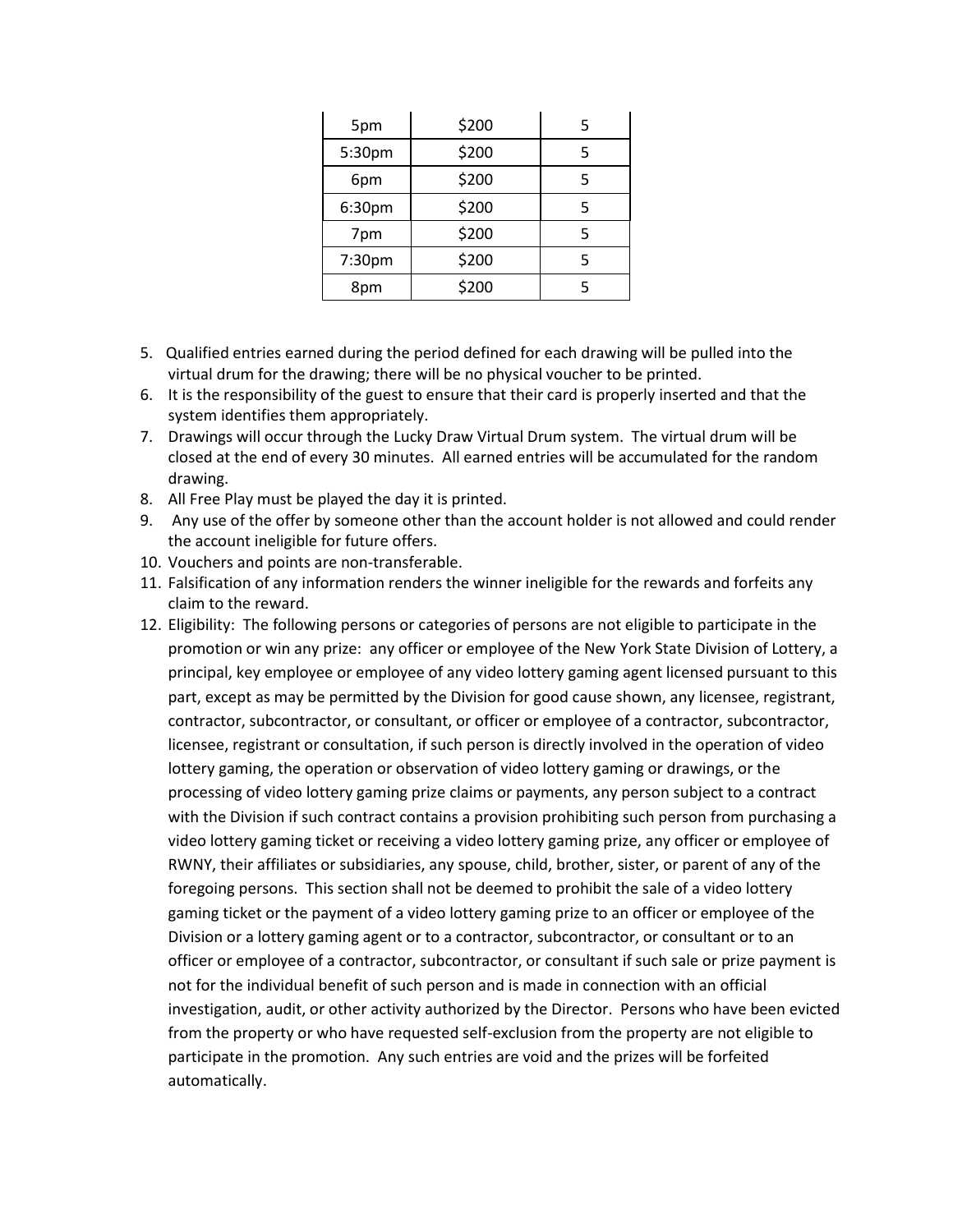| 5pm    | \$200 | 5 |
|--------|-------|---|
| 5:30pm | \$200 | 5 |
| 6pm    | \$200 | 5 |
| 6:30pm | \$200 | 5 |
| 7pm    | \$200 | 5 |
| 7:30pm | \$200 | 5 |
| 8pm    | \$200 | 5 |

- 5. Qualified entries earned during the period defined for each drawing will be pulled into the virtual drum for the drawing; there will be no physical voucher to be printed.
- 6. It is the responsibility of the guest to ensure that their card is properly inserted and that the system identifies them appropriately.
- 7. Drawings will occur through the Lucky Draw Virtual Drum system. The virtual drum will be closed at the end of every 30 minutes. All earned entries will be accumulated for the random drawing.
- 8. All Free Play must be played the day it is printed.
- 9. Any use of the offer by someone other than the account holder is not allowed and could render the account ineligible for future offers.
- 10. Vouchers and points are non-transferable.
- 11. Falsification of any information renders the winner ineligible for the rewards and forfeits any claim to the reward.
- 12. Eligibility: The following persons or categories of persons are not eligible to participate in the promotion or win any prize: any officer or employee of the New York State Division of Lottery, a principal, key employee or employee of any video lottery gaming agent licensed pursuant to this part, except as may be permitted by the Division for good cause shown, any licensee, registrant, contractor, subcontractor, or consultant, or officer or employee of a contractor, subcontractor, licensee, registrant or consultation, if such person is directly involved in the operation of video lottery gaming, the operation or observation of video lottery gaming or drawings, or the processing of video lottery gaming prize claims or payments, any person subject to a contract with the Division if such contract contains a provision prohibiting such person from purchasing a video lottery gaming ticket or receiving a video lottery gaming prize, any officer or employee of RWNY, their affiliates or subsidiaries, any spouse, child, brother, sister, or parent of any of the foregoing persons. This section shall not be deemed to prohibit the sale of a video lottery gaming ticket or the payment of a video lottery gaming prize to an officer or employee of the Division or a lottery gaming agent or to a contractor, subcontractor, or consultant or to an officer or employee of a contractor, subcontractor, or consultant if such sale or prize payment is not for the individual benefit of such person and is made in connection with an official investigation, audit, or other activity authorized by the Director. Persons who have been evicted from the property or who have requested self-exclusion from the property are not eligible to participate in the promotion. Any such entries are void and the prizes will be forfeited automatically.